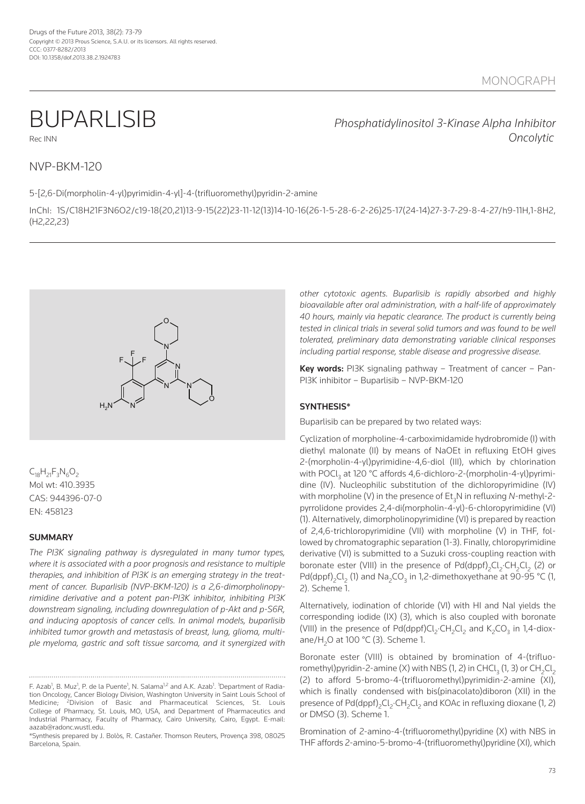BUPARLISIB *Phosphatidylinositol 3-Kinase Alpha Inhibitor* Rec Inn *Oncolytic*

# nVP-BKM-120

5-[2,6-Di(morpholin-4-yl)pyrimidin-4-yl]-4-(trifluoromethyl)pyridin-2-amine

InChI: 1S/C18H21F3n6o2/c19-18(20,21)13-9-15(22)23-11-12(13)14-10-16(26-1-5-28-6-2-26)25-17(24-14)27-3-7-29-8-4-27/h9-11H,1-8H2, (H2,22,23)



 $C_{18}H_{21}F_{3}N_{6}O_{2}$ Mol wt: 410.3935 CAS: 944396-07-0 En: 458123

# **SUMMARY**

*The PI3K signaling pathway is dysregulated in many tumor types, where it is associated with a poor prognosis and resistance to multiple therapies, and inhibition of PI3K is an emerging strategy in the treatment of cancer. Buparlisib (NVP-BKM-120) is a 2,6-dimorpholinopyrimidine derivative and a potent pan-PI3K inhibitor, inhibiting PI3K downstream signaling, including downregulation of p-Akt and p-S6R, and inducing apoptosis of cancer cells. In animal models, buparlisib inhibited tumor growth and metastasis of breast, lung, glioma, multiple myeloma, gastric and soft tissue sarcoma, and it synergized with* *other cytotoxic agents. Buparlisib is rapidly absorbed and highly bioavailable after oral administration, with a half-life of approximately 40 hours, mainly via hepatic clearance. The product is currently being tested in clinical trials in several solid tumors and was found to be well tolerated, preliminary data demonstrating variable clinical responses including partial response, stable disease and progressive disease.*

**Key words:** PI3K signaling pathway – Treatment of cancer – Pan-PI3K inhibitor – Buparlisib – nVP-BKM-120

# **SYNTHESIS\***

Buparlisib can be prepared by two related ways:

Cyclization of morpholine-4-carboximidamide hydrobromide (I) with diethyl malonate (II) by means of NaOEt in refluxing EtOH gives 2-(morpholin-4-yl)pyrimidine-4,6-diol (III), which by chlorination with POCl<sub>3</sub> at 120 °C affords 4,6-dichloro-2-(morpholin-4-yl)pyrimidine (IV). Nucleophilic substitution of the dichloropyrimidine (IV) with morpholine (V) in the presence of Et 3n in refluxing *N*-methyl-2 pyrrolidone provides 2,4-di(morpholin-4-yl)-6-chloropyrimidine (VI) (1). Alternatively, dimorpholinopyrimidine (VI) is prepared by reaction of 2,4,6-trichloropyrimidine (VII) with morpholine (V) in THF, followed by chromatographic separation (1-3). Finally, chloropyrimidine derivative (VI) is submitted to a Suzuki cross-coupling reaction with boronate ester (VIII) in the presence of  $\mathsf{Pd}(\mathsf{dppf})_{2}\mathsf{Cl}_{2}\mathsf{CH}_{2}\mathsf{Cl}_{2}$  (2) or Pd(dppf)<sub>2</sub>Cl<sub>2</sub> (1) and Na<sub>2</sub>CO<sub>3</sub> in 1,2-dimethoxyethane at 90-95 °C (1, 2). Scheme 1.

Alternatively, iodination of chloride (VI) with HI and NaI yields the corresponding iodide (IX) (3), which is also coupled with boronate (VIII) in the presence of  $Pd(dppf)Cl_2 \cdot CH_2Cl_2$  and  $K_2CO_3$  in 1,4-dioxane/H<sub>2</sub>O at 100 °C (3). Scheme 1.

Boronate ester (VIII) is obtained by bromination of 4-(trifluoromethyl)pyridin-2-amine (X) with NBS (1, 2) in CHCl $_3$  (1, 3) or CH $_2$ Cl $_2$ (2) to afford 5-bromo-4-(trifluoromethyl)pyrimidin-2-amine (XI), which is finally condensed with bis(pinacolato)diboron (XII) in the presence of Pd(dppf)<sub>2</sub>Cl<sub>2</sub>·CH<sub>2</sub>Cl<sub>2</sub> and KOAc in refluxing dioxane (1, 2) or DMSo (3). Scheme 1.

Bromination of 2-amino-4-(trifluoromethyl)pyridine (X) with nBS in THF affords 2-amino-5-bromo-4-(trifluoromethyl)pyridine (XI), which

F. Azab<sup>1</sup>, B. Muz<sup>1</sup>, P. de la Puente<sup>1</sup>, N. Salama<sup>1,2</sup> and A.K. Azab<sup>1</sup>. <sup>1</sup>Department of Radiation oncology, Cancer Biology Division, Washington University in Saint Louis School of Medicine; 2Division of Basic and Pharmaceutical Sciences, St. Louis College of Pharmacy, St. Louis, Mo, USA, and Department of Pharmaceutics and Industrial Pharmacy, Faculty of Pharmacy, Cairo University, Cairo, Egypt. E-mail: aazab@radonc.wustl.edu.

<sup>\*</sup>Synthesis prepared by J. Bolòs, R. Castañer. Thomson Reuters, Provença 398, 08025 Barcelona, Spain.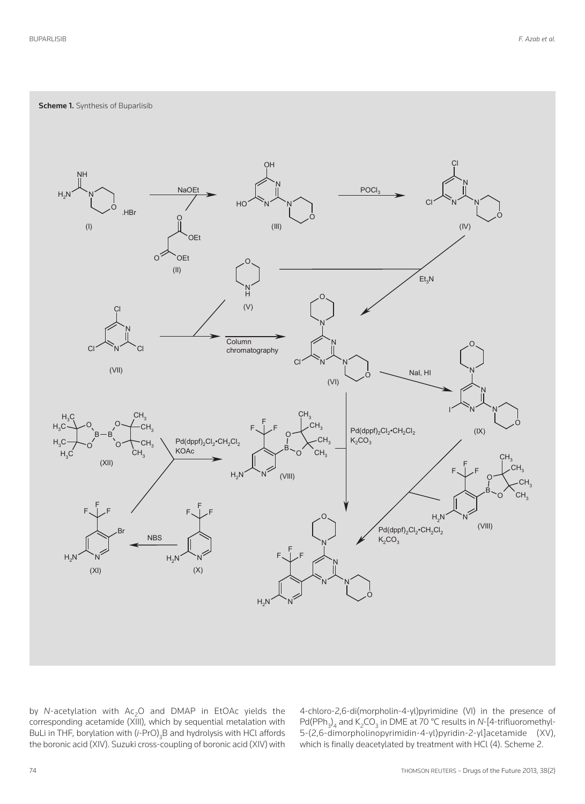**Scheme 1.** Synthesis of Buparlisib



by *N*-acetylation with Ac<sub>2</sub>O and DMAP in EtOAc yields the corresponding acetamide (XIII), which by sequential metalation with BuLi in THF, borylation with (*i*-Pro) 3 B and hydrolysis with HCl affords the boronic acid (XIV). Suzuki cross-coupling of boronic acid (XIV) with 4-chloro-2,6-di(morpholin-4-yl)pyrimidine (VI) in the presence of Pd(PPh<sub>3</sub>)<sub>4</sub> and K<sub>2</sub>CO<sub>3</sub> in DME at 70 °C results in *N*-[4-trifluoromethyl-5-(2,6-dimorpholinopyrimidin-4-yl)pyridin-2-yl]acetamide (XV), which is finally deacetylated by treatment with HCl (4). Scheme 2.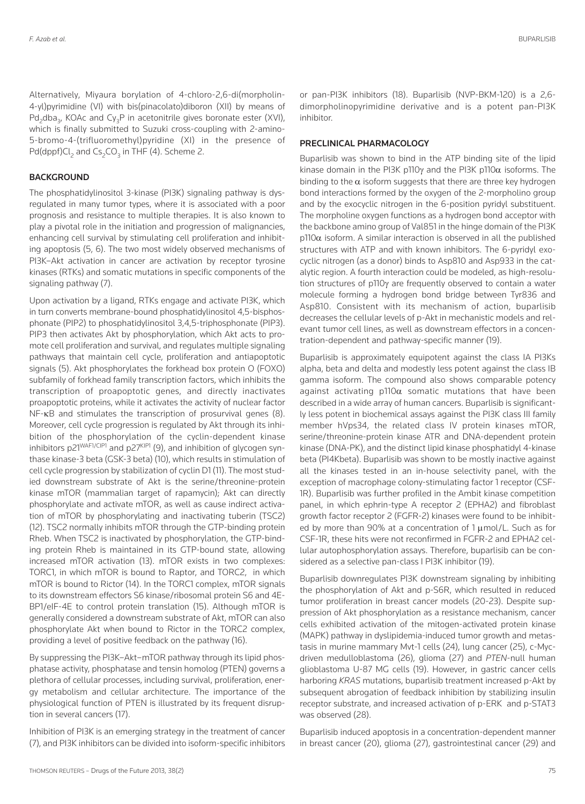Alternatively, Miyaura borylation of 4-chloro-2,6-di(morpholin-4-yl)pyrimidine (VI) with bis(pinacolato)diboron (XII) by means of Pd<sub>2</sub>dba<sub>3</sub>, KOAc and Cy<sub>2</sub>P in acetonitrile gives boronate ester (XVI), which is finally submitted to Suzuki cross-coupling with 2-amino-5-bromo-4-(trifluoromethyl)pyridine (XI) in the presence of Pd(dppf)Cl<sub>2</sub> and Cs<sub>2</sub>CO<sub>3</sub> in THF (4). Scheme 2.

### **BACKGROUND**

The phosphatidylinositol 3-kinase (PI3K) signaling pathway is dysregulated in many tumor types, where it is associated with a poor prognosis and resistance to multiple therapies. It is also known to play a pivotal role in the initiation and progression of malignancies, enhancing cell survival by stimulating cell proliferation and inhibiting apoptosis (5, 6). The two most widely observed mechanisms of PI3K–Akt activation in cancer are activation by receptor tyrosine kinases (RTKs) and somatic mutations in specific components of the signaling pathway (7).

Upon activation by a ligand, RTKs engage and activate PI3K, which in turn converts membrane-bound phosphatidylinositol 4,5-bisphosphonate (PIP2) to phosphatidylinositol 3,4,5-triphosphonate (PIP3). PIP3 then activates Akt by phosphorylation, which Akt acts to promote cell proliferation and survival, and regulates multiple signaling pathways that maintain cell cycle, proliferation and antiapoptotic signals  $(5)$ . Akt phosphorylates the forkhead box protein  $O$  (FOXO) subfamily of forkhead family transcription factors, which inhibits the transcription of proapoptotic genes, and directly inactivates proapoptotic proteins, while it activates the activity of nuclear factor NF- $\kappa$ B and stimulates the transcription of prosurvival genes (8). Moreover, cell cycle progression is regulated by Akt through its inhibition of the phosphorylation of the cyclin-dependent kinase inhibitors p21<sup>WAF1/CIP1</sup> and p27<sup>KIP1</sup> (9), and inhibition of glycogen synthase kinase-3 beta (GSK-3 beta) (10), which results in stimulation of cell cycle progression by stabilization of cyclin D1 (11). The most studied downstream substrate of Akt is the serine/threonine-protein kinase mToR (mammalian target of rapamycin); Akt can directly phosphorylate and activate mToR, as well as cause indirect activation of mToR by phosphorylating and inactivating tuberin (TSC2) (12). TSC2 normally inhibits mToR through the GTP-binding protein Rheb. When TSC2 is inactivated by phosphorylation, the GTP-binding protein Rheb is maintained in its GTP-bound state, allowing increased mToR activation (13). mToR exists in two complexes: ToRC1, in which mToR is bound to Raptor, and ToRC2, in which mToR is bound to Rictor (14). In the ToRC1 complex, mToR signals to its downstream effectors S6 kinase/ribosomal protein S6 and 4E-BP1/eIF-4E to control protein translation (15). Although mToR is generally considered a downstream substrate of Akt, mToR can also phosphorylate Akt when bound to Rictor in the ToRC2 complex, providing a level of positive feedback on the pathway (16).

By suppressing the PI3K–Akt–mToR pathway through its lipid phosphatase activity, phosphatase and tensin homolog (PTEn) governs a plethora of cellular processes, including survival, proliferation, energy metabolism and cellular architecture. The importance of the physiological function of PTEN is illustrated by its frequent disruption in several cancers (17).

Inhibition of PI3K is an emerging strategy in the treatment of cancer (7), and PI3K inhibitors can be divided into isoform-specific inhibitors or pan-PI3K inhibitors (18). Buparlisib (nVP-BKM-120) is a 2,6 dimorpholinopyrimidine derivative and is a potent pan-PI3K inhibitor.

# **PRECLINICAL PHARMACOLOGY**

Buparlisib was shown to bind in the ATP binding site of the lipid kinase domain in the PI3K p110 $\gamma$  and the PI3K p110 $\alpha$  isoforms. The binding to the  $\alpha$  isoform suggests that there are three key hydrogen bond interactions formed by the oxygen of the 2-morpholino group and by the exocyclic nitrogen in the 6-position pyridyl substituent. The morpholine oxygen functions as a hydrogen bond acceptor with the backbone amino group of Val851 in the hinge domain of the PI3K  $p110\alpha$  isoform. A similar interaction is observed in all the published structures with ATP and with known inhibitors. The 6-pyridyl exocyclic nitrogen (as a donor) binds to Asp810 and Asp933 in the catalytic region. A fourth interaction could be modeled, as high-resolution structures of p110y are frequently observed to contain a water molecule forming a hydrogen bond bridge between Tyr836 and Asp810. Consistent with its mechanism of action, buparlisib decreases the cellular levels of p-Akt in mechanistic models and relevant tumor cell lines, as well as downstream effectors in a concentration-dependent and pathway-specific manner (19).

Buparlisib is approximately equipotent against the class IA PI3Ks alpha, beta and delta and modestly less potent against the class IB gamma isoform. The compound also shows comparable potency against activating  $pi10\alpha$  somatic mutations that have been described in a wide array of human cancers. Buparlisib is significantly less potent in biochemical assays against the PI3K class III family member hVps34, the related class IV protein kinases mToR, serine/threonine-protein kinase ATR and DnA-dependent protein kinase (DnA-PK), and the distinct lipid kinase phosphatidyl 4-kinase beta (PI4Kbeta). Buparlisib was shown to be mostly inactive against all the kinases tested in an in-house selectivity panel, with the exception of macrophage colony-stimulating factor 1 receptor (CSF-1R). Buparlisib was further profiled in the Ambit kinase competition panel, in which ephrin-type A receptor 2 (EPHA2) and fibroblast growth factor receptor 2 (FGFR-2) kinases were found to be inhibited by more than 90% at a concentration of  $1 \mu$ mol/L. Such as for CSF-1R, these hits were not reconfirmed in FGFR-2 and EPHA2 cellular autophosphorylation assays. Therefore, buparlisib can be considered as a selective pan-class I PI3K inhibitor (19).

Buparlisib downregulates PI3K downstream signaling by inhibiting the phosphorylation of Akt and p-S6R, which resulted in reduced tumor proliferation in breast cancer models (20-23). Despite suppression of Akt phosphorylation as a resistance mechanism, cancer cells exhibited activation of the mitogen-activated protein kinase (MAPK) pathway in dyslipidemia-induced tumor growth and metastasis in murine mammary Mvt-1 cells (24), lung cancer (25), c-Mycdriven medulloblastoma (26), glioma (27) and *PTEN*-null human glioblastoma U-87 MG cells (19). However, in gastric cancer cells harboring *KRAS* mutations, buparlisib treatment increased p-Akt by subsequent abrogation of feedback inhibition by stabilizing insulin receptor substrate, and increased activation of p-ERK and p-STAT3 was observed (28).

Buparlisib induced apoptosis in a concentration-dependent manner in breast cancer (20), glioma (27), gastrointestinal cancer (29) and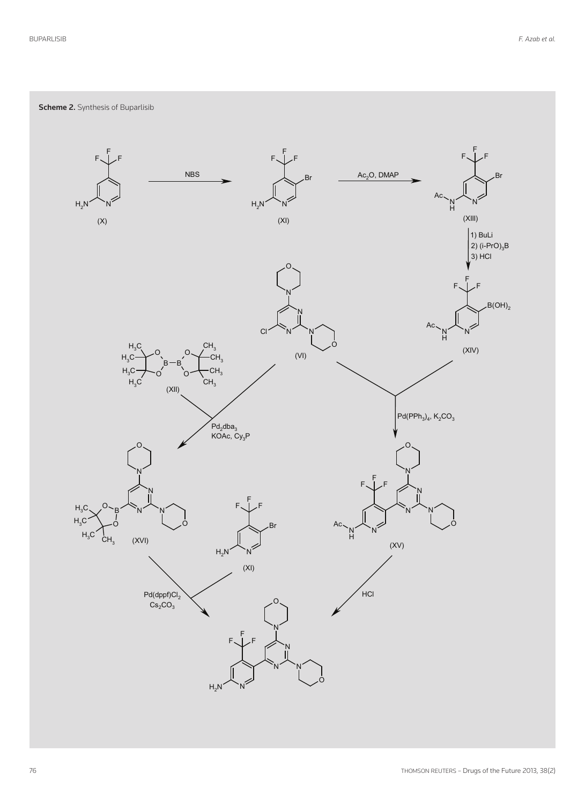**Scheme 2.** Synthesis of Buparlisib

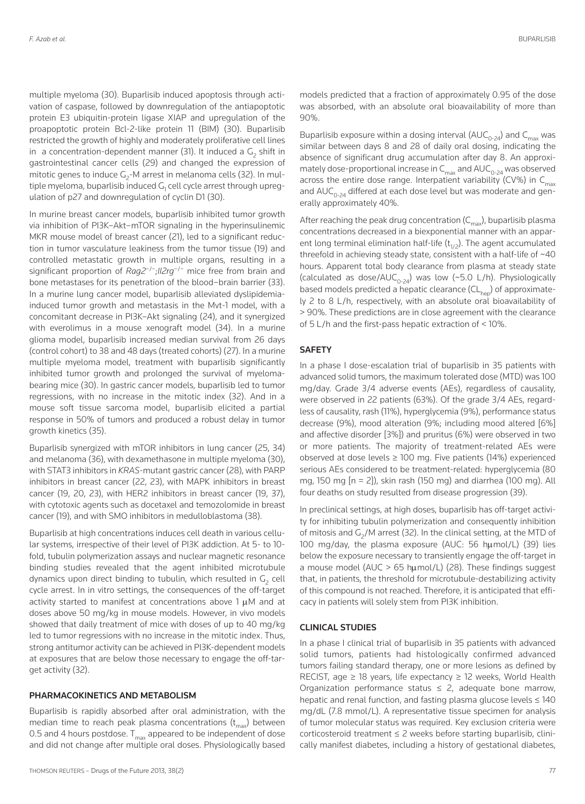multiple myeloma (30). Buparlisib induced apoptosis through activation of caspase, followed by downregulation of the antiapoptotic protein E3 ubiquitin-protein ligase XIAP and upregulation of the proapoptotic protein Bcl-2-like protein 11 (BIM) (30). Buparlisib restricted the growth of highly and moderately proliferative cell lines in a concentration-dependent manner (31). It induced a  $G<sub>2</sub>$  shift in gastrointestinal cancer cells (29) and changed the expression of mitotic genes to induce  $G_2$ -M arrest in melanoma cells (32). In multiple myeloma, buparlisib induced  $G<sub>1</sub>$  cell cycle arrest through upregulation of p27 and downregulation of cyclin D1 (30).

In murine breast cancer models, buparlisib inhibited tumor growth via inhibition of PI3K–Akt–mToR signaling in the hyperinsulinemic MKR mouse model of breast cancer (21), led to a significant reduction in tumor vasculature leakiness from the tumor tissue (19) and controlled metastatic growth in multiple organs, resulting in a significant proportion of *Rag2*−/−;*Il2rg*−/− mice free from brain and bone metastases for its penetration of the blood–brain barrier (33). In a murine lung cancer model, buparlisib alleviated dyslipidemiainduced tumor growth and metastasis in the Mvt-1 model, with a concomitant decrease in PI3K–Akt signaling (24), and it synergized with everolimus in a mouse xenograft model (34). In a murine glioma model, buparlisib increased median survival from 26 days (control cohort) to 38 and 48 days (treated cohorts) (27). In a murine multiple myeloma model, treatment with buparlisib significantly inhibited tumor growth and prolonged the survival of myelomabearing mice (30). In gastric cancer models, buparlisib led to tumor regressions, with no increase in the mitotic index (32). And in a mouse soft tissue sarcoma model, buparlisib elicited a partial response in 50% of tumors and produced a robust delay in tumor growth kinetics (35).

Buparlisib synergized with mToR inhibitors in lung cancer (25, 34) and melanoma (36), with dexamethasone in multiple myeloma (30), with STAT3 inhibitors in *KRAS-*mutant gastric cancer (28), with PARP inhibitors in breast cancer (22, 23), with MAPK inhibitors in breast cancer (19, 20, 23), with HER2 inhibitors in breast cancer (19, 37), with cytotoxic agents such as docetaxel and temozolomide in breast cancer (19), and with SMo inhibitors in medulloblastoma (38).

Buparlisib at high concentrations induces cell death in various cellular systems, irrespective of their level of PI3K addiction. At 5- to 10 fold, tubulin polymerization assays and nuclear magnetic resonance binding studies revealed that the agent inhibited microtubule dynamics upon direct binding to tubulin, which resulted in  $G<sub>2</sub>$  cell cycle arrest. In in vitro settings, the consequences of the off-target activity started to manifest at concentrations above  $1 \mu M$  and at doses above 50 mg/kg in mouse models. However, in vivo models showed that daily treatment of mice with doses of up to 40 mg/kg led to tumor regressions with no increase in the mitotic index. Thus, strong antitumor activity can be achieved in PI3K-dependent models at exposures that are below those necessary to engage the off-target activity (32).

#### **PHARMACOKINETICS AND METABOLISM**

Buparlisib is rapidly absorbed after oral administration, with the median time to reach peak plasma concentrations (t<sub>max</sub>) between 0.5 and 4 hours postdose.  $T_{max}$  appeared to be independent of dose and did not change after multiple oral doses. Physiologically based

models predicted that a fraction of approximately 0.95 of the dose was absorbed, with an absolute oral bioavailability of more than 90%.

Buparlisib exposure within a dosing interval ( $AUC_{0.24}$ ) and  $C_{max}$  was similar between days 8 and 28 of daily oral dosing, indicating the absence of significant drug accumulation after day 8. An approximately dose-proportional increase in  $C_{\text{max}}$  and  $\text{AUC}_{0.24}$  was observed across the entire dose range. Interpatient variability (CV%) in  $C_{\text{max}}$ and  $AUC_{0.24}$  differed at each dose level but was moderate and generally approximately 40%.

After reaching the peak drug concentration (C<sub>max</sub>), buparlisib plasma concentrations decreased in a biexponential manner with an apparent long terminal elimination half-life ( $\mathfrak{t}_{1/2}$ ). The agent accumulated threefold in achieving steady state, consistent with a half-life of ~40 hours. Apparent total body clearance from plasma at steady state (calculated as dose/AUC<sub>0-24</sub>) was low (~5.0 L/h). Physiologically based models predicted a hepatic clearance (CL<sub>hen</sub>) of approximately 2 to 8 L/h, respectively, with an absolute oral bioavailability of > 90%. These predictions are in close agreement with the clearance of 5 L/h and the first-pass hepatic extraction of < 10%.

#### **SAFETY**

In a phase I dose-escalation trial of buparlisib in 35 patients with advanced solid tumors, the maximum tolerated dose (MTD) was 100 mg/day. Grade 3/4 adverse events (AEs), regardless of causality, were observed in 22 patients (63%). Of the grade 3/4 AEs, regardless of causality, rash (11%), hyperglycemia (9%), performance status decrease (9%), mood alteration (9%; including mood altered [6%] and affective disorder [3%]) and pruritus (6%) were observed in two or more patients. The majority of treatment-related AEs were observed at dose levels  $\geq$  100 mg. Five patients (14%) experienced serious AEs considered to be treatment-related: hyperglycemia (80 mg, 150 mg [n = 2]), skin rash (150 mg) and diarrhea (100 mg). All four deaths on study resulted from disease progression (39).

In preclinical settings, at high doses, buparlisib has off-target activity for inhibiting tubulin polymerization and consequently inhibition of mitosis and  $G<sub>2</sub>/M$  arrest (32). In the clinical setting, at the MTD of 100 mg/day, the plasma exposure (AUC: 56 humol/L) (39) lies below the exposure necessary to transiently engage the off-target in a mouse model (AUC > 65 h $\mu$ mol/L) (28). These findings suggest that, in patients, the threshold for microtubule-destabilizing activity of this compound is not reached. Therefore, it is anticipated that efficacy in patients will solely stem from PI3K inhibition.

### **CLINICAL STUDIES**

In a phase I clinical trial of buparlisib in 35 patients with advanced solid tumors, patients had histologically confirmed advanced tumors failing standard therapy, one or more lesions as defined by RECIST, age  $\geq$  18 years, life expectancy  $\geq$  12 weeks, World Health Organization performance status  $\leq$  2, adequate bone marrow, hepatic and renal function, and fasting plasma glucose levels ≤ 140 mg/dL (7.8 mmol/L). A representative tissue specimen for analysis of tumor molecular status was required. Key exclusion criteria were corticosteroid treatment ≤ 2 weeks before starting buparlisib, clinically manifest diabetes, including a history of gestational diabetes,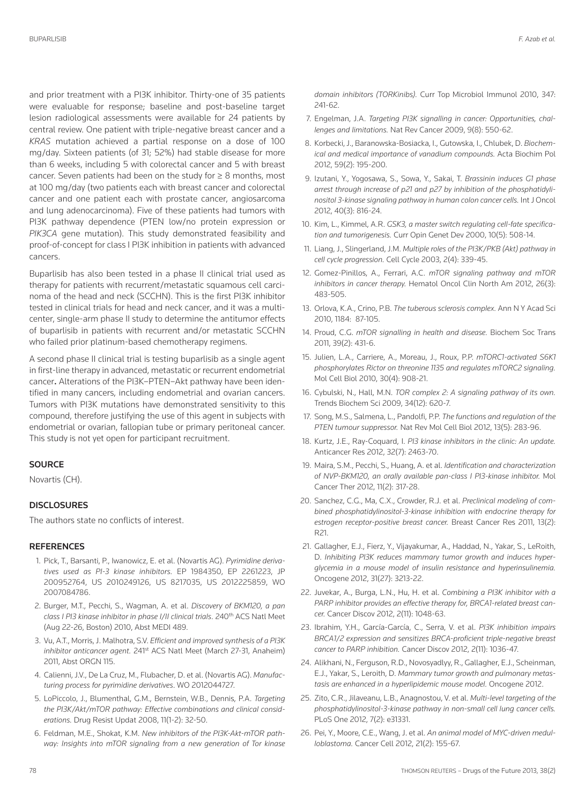and prior treatment with a PI3K inhibitor. Thirty-one of 35 patients were evaluable for response; baseline and post-baseline target lesion radiological assessments were available for 24 patients by central review. One patient with triple-negative breast cancer and a *KRAS* mutation achieved a partial response on a dose of 100 mg/day. Sixteen patients (of 31; 52%) had stable disease for more than 6 weeks, including 5 with colorectal cancer and 5 with breast cancer. Seven patients had been on the study for  $\geq 8$  months, most at 100 mg/day (two patients each with breast cancer and colorectal cancer and one patient each with prostate cancer, angiosarcoma and lung adenocarcinoma). Five of these patients had tumors with PI3K pathway dependence (PTEN low/no protein expression or *PIK3CA* gene mutation). This study demonstrated feasibility and proof-of-concept for class I PI3K inhibition in patients with advanced cancers.

Buparlisib has also been tested in a phase II clinical trial used as therapy for patients with recurrent/metastatic squamous cell carcinoma of the head and neck (SCCHn). This is the first PI3K inhibitor tested in clinical trials for head and neck cancer, and it was a multicenter, single-arm phase II study to determine the antitumor effects of buparlisib in patients with recurrent and/or metastatic SCCHn who failed prior platinum-based chemotherapy regimens.

A second phase II clinical trial is testing buparlisib as a single agent in first-line therapy in advanced, metastatic or recurrent endometrial cancer**.** Alterations of the PI3K–PTEn–Akt pathway have been identified in many cancers, including endometrial and ovarian cancers. Tumors with PI3K mutations have demonstrated sensitivity to this compound, therefore justifying the use of this agent in subjects with endometrial or ovarian, fallopian tube or primary peritoneal cancer. This study is not yet open for participant recruitment.

### **SOURCE**

Novartis (CH).

#### **DISCLOSURES**

The authors state no conflicts of interest.

#### **REFERENCES**

- 1. Pick, T., Barsanti, P., Iwanowicz, E. et al. (novartis AG). *Pyrimidine derivatives used as PI-3 kinase inhibitors.* EP 1984350, EP 2261223, JP 200952764, US 2010249126, US 8217035, US 2012225859, Wo 2007084786.
- 2. Burger, M.T., Pecchi, S., Wagman, A. et al. *Discovery of BKM120, a pan class I PI3 kinase inhibitor in phase I/II clinical trials*. 240th ACS natl Meet (Aug 22-26, Boston) 2010, Abst MEDI 489.
- 3. Vu, A.T., Morris, J. Malhotra, S.V. *Efficient and improved synthesis of a PI3K* inhibitor anticancer agent. 241<sup>st</sup> ACS Natl Meet (March 27-31, Anaheim) 2011, Abst oRGn 115.
- 4. Calienni, J.V., De La Cruz, M., Flubacher, D. et al. (novartis AG). *Manufacturing process for pyrimidine derivatives*. Wo 2012044727.
- 5. LoPiccolo, J., Blumenthal, G.M., Bernstein, W.B., Dennis, P.A. *Targeting the PI3K/Akt/mTOR pathway: Effective combinations and clinical considerations.* Drug Resist Updat 2008, 11(1-2): 32-50.
- 6. Feldman, M.E., Shokat, K.M. *New inhibitors of the PI3K-Akt-mTOR pathway: Insights into mTOR signaling from a new generation of Tor kinase*

*domain inhibitors (TORKinibs).* Curr Top Microbiol Immunol 2010, 347: 241-62.

- 7. Engelman, J.A. *Targeting PI3K signalling in cancer: Opportunities, challenges and limitations.* nat Rev Cancer 2009, 9(8): 550-62.
- 8. Korbecki, J., Baranowska-Bosiacka, I., Gutowska, I., Chlubek, D. *Biochemical and medical importance of vanadium compounds.* Acta Biochim Pol 2012, 59(2): 195-200.
- 9. Izutani, Y., Yogosawa, S., Sowa, Y., Sakai, T. *Brassinin induces G1 phase arrest through increase of p21 and p27 by inhibition of the phosphatidylinositol 3-kinase signaling pathway in human colon cancer cells.* Int J oncol 2012, 40(3): 816-24.
- 10. Kim, L., Kimmel, A.R. *GSK3, a master switch regulating cell-fate specification and tumorigenesis.* Curr opin Genet Dev 2000, 10(5): 508-14.
- 11. Liang, J., Slingerland, J.M. *Multiple roles of the PI3K/PKB (Akt) pathway in cell cycle progression.* Cell Cycle 2003, 2(4): 339-45.
- 12. Gomez-Pinillos, A., Ferrari, A.C. *mTOR signaling pathway and mTOR inhibitors in cancer therapy.* Hematol oncol Clin north Am 2012, 26(3): 483-505.
- 13. orlova, K.A., Crino, P.B. *The tuberous sclerosis complex.* Ann n Y Acad Sci 2010, 1184: 87-105.
- 14. Proud, C.G. *mTOR signalling in health and disease.* Biochem Soc Trans 2011, 39(2): 431-6.
- 15. Julien, L.A., Carriere, A., Moreau, J., Roux, P.P. *mTORC1-activated S6K1 phosphorylates Rictor on threonine 1135 and regulates mTORC2 signaling.* Mol Cell Biol 2010, 30(4): 908-21.
- 16. Cybulski, n., Hall, M.n. *TOR complex 2: A signaling pathway of its own.* Trends Biochem Sci 2009, 34(12): 620-7.
- 17. Song, M.S., Salmena, L., Pandolfi, P.P. *The functions and regulation of the PTEN tumour suppressor.* nat Rev Mol Cell Biol 2012, 13(5): 283-96.
- 18. Kurtz, J.E., Ray-Coquard, I. *PI3 kinase inhibitors in the clinic: An update.* Anticancer Res 2012, 32(7): 2463-70.
- 19. Maira, S.M., Pecchi, S., Huang, A. et al. *Identification and characterization of NVP-BKM120, an orally available pan-class I PI3-kinase inhibitor.* Mol Cancer Ther 2012, 11(2): 317-28.
- 20. Sanchez, C.G., Ma, C.X., Crowder, R.J. et al. *Preclinical modeling of combined phosphatidylinositol-3-kinase inhibition with endocrine therapy for estrogen receptor-positive breast cancer.* Breast Cancer Res 2011, 13(2): R21.
- 21. Gallagher, E.J., Fierz, Y., Vijayakumar, A., Haddad, N., Yakar, S., LeRoith, D. *Inhibiting PI3K reduces mammary tumor growth and induces hyperglycemia in a mouse model of insulin resistance and hyperinsulinemia.* oncogene 2012, 31(27): 3213-22.
- 22. Juvekar, A., Burga, L.n., Hu, H. et al. *Combining a PI3K inhibitor with a PARP inhibitor provides an effective therapy for, BRCA1-related breast cancer.* Cancer Discov 2012, 2(11): 1048-63.
- 23. Ibrahim, Y.H., García-García, C., Serra, V. et al. *PI3K inhibition impairs BRCA1/2 expression and sensitizes BRCA-proficient triple-negative breast cancer to PARP inhibition.* Cancer Discov 2012, 2(11): 1036-47.
- 24. Alikhani, N., Ferguson, R.D., Novosyadlyy, R., Gallagher, E.J., Scheinman, E.J., Yakar, S., Leroith, D. *Mammary tumor growth and pulmonary metastasis are enhanced in a hyperlipidemic mouse model.* oncogene 2012.
- 25. Zito, C.R., Jilaveanu, L.B., Anagnostou, V. et al. *Multi-level targeting of the phosphatidylinositol-3-kinase pathway in non-small cell lung cancer cells.* PLoS one 2012, 7(2): e31331.
- 26. Pei, Y., Moore, C.E., Wang, J. et al. *An animal model of MYC-driven medulloblastoma.* Cancer Cell 2012, 21(2): 155-67.